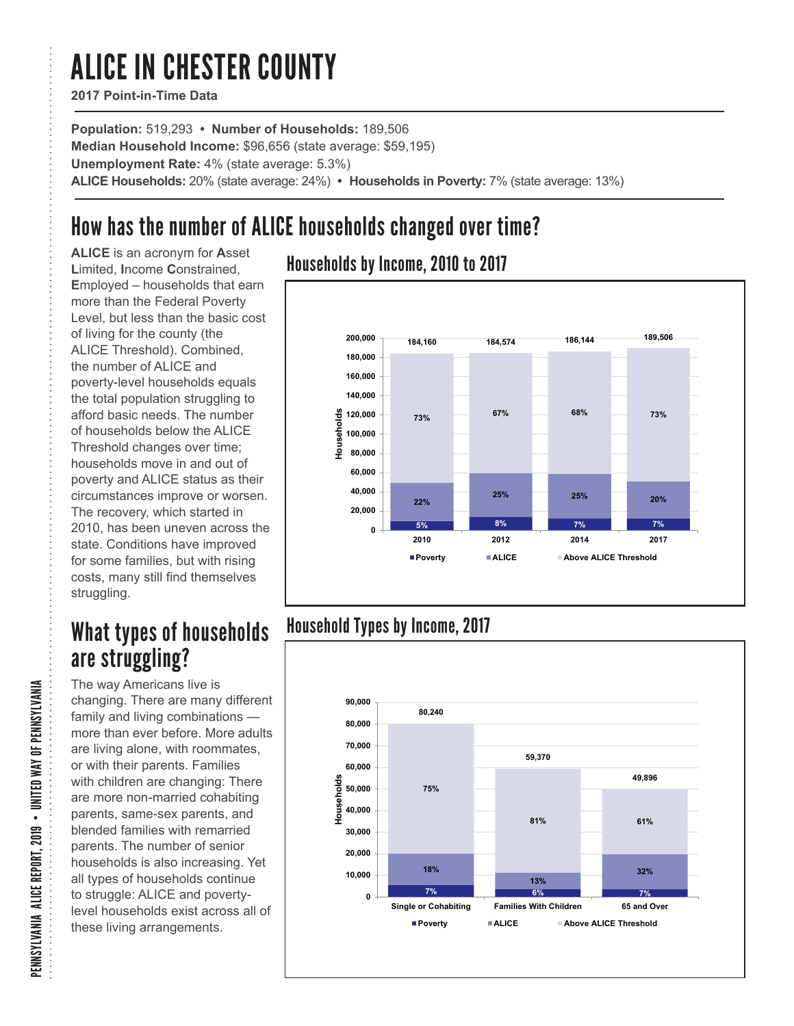# ALICE IN CHESTER COUNTY

**2017 Point-in-Time Data**

**Population:** 519,293 **• Number of Households:** 189,506 **Median Household Income:** \$96,656 (state average: \$59,195) **Unemployment Rate:** 4% (state average: 5.3%) **ALICE Households:** 20% (state average: 24%) **• Households in Poverty:** 7% (state average: 13%)

# How has the number of ALICE households changed over time?

**ALICE** is an acronym for **A**sset **L**imited, **I**ncome **C**onstrained, **E**mployed – households that earn more than the Federal Poverty Level, but less than the basic cost of living for the county (the ALICE Threshold). Combined, the number of ALICE and poverty-level households equals the total population struggling to afford basic needs. The number of households below the ALICE Threshold changes over time; households move in and out of poverty and ALICE status as their circumstances improve or worsen. The recovery, which started in 2010, has been uneven across the state. Conditions have improved for some families, but with rising costs, many still find themselves struggling.

## What types of households are struggling?

The way Americans live is changing. There are many different family and living combinations more than ever before. More adults are living alone, with roommates, or with their parents. Families with children are changing: There are more non-married cohabiting parents, same-sex parents, and blended families with remarried parents. The number of senior households is also increasing. Yet all types of households continue to struggle: ALICE and povertylevel households exist across all of these living arrangements.

### Households by Income, 2010 to 2017



### Household Types by Income, 2017